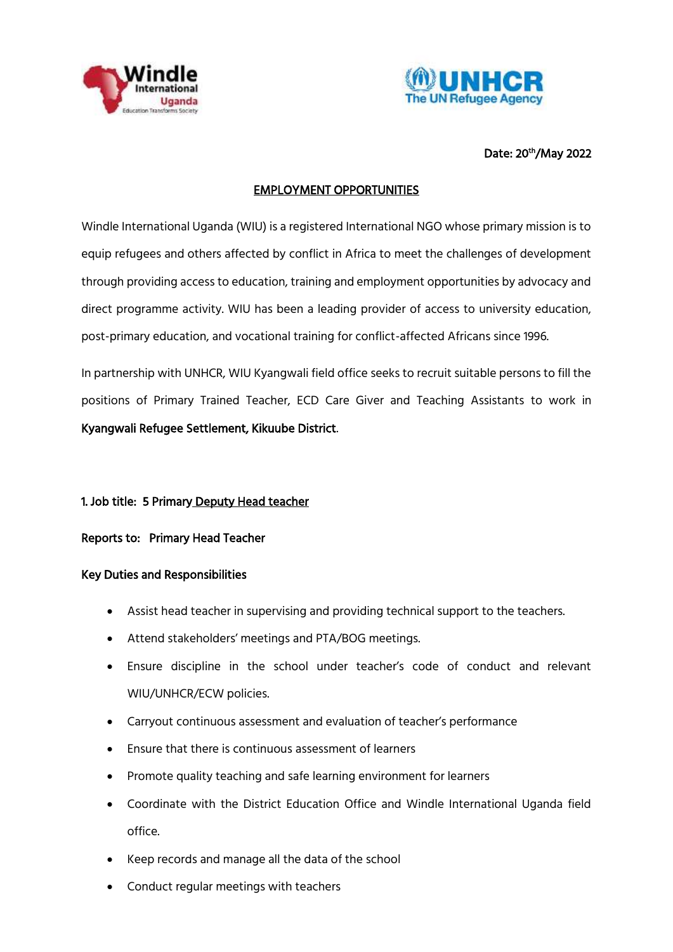



#### Date: 20th/May 2022

## EMPLOYMENT OPPORTUNITIES

Windle International Uganda (WIU) is a registered International NGO whose primary mission is to equip refugees and others affected by conflict in Africa to meet the challenges of development through providing access to education, training and employment opportunities by advocacy and direct programme activity. WIU has been a leading provider of access to university education, post-primary education, and vocational training for conflict-affected Africans since 1996.

In partnership with UNHCR, WIU Kyangwali field office seeks to recruit suitable persons to fill the positions of Primary Trained Teacher, ECD Care Giver and Teaching Assistants to work in Kyangwali Refugee Settlement, Kikuube District.

## 1. Job title: 5 Primary Deputy Head teacher

#### Reports to: Primary Head Teacher

#### Key Duties and Responsibilities

- Assist head teacher in supervising and providing technical support to the teachers.
- Attend stakeholders' meetings and PTA/BOG meetings.
- Ensure discipline in the school under teacher's code of conduct and relevant WIU/UNHCR/ECW policies.
- Carryout continuous assessment and evaluation of teacher's performance
- Ensure that there is continuous assessment of learners
- Promote quality teaching and safe learning environment for learners
- Coordinate with the District Education Office and Windle International Uganda field office.
- Keep records and manage all the data of the school
- Conduct regular meetings with teachers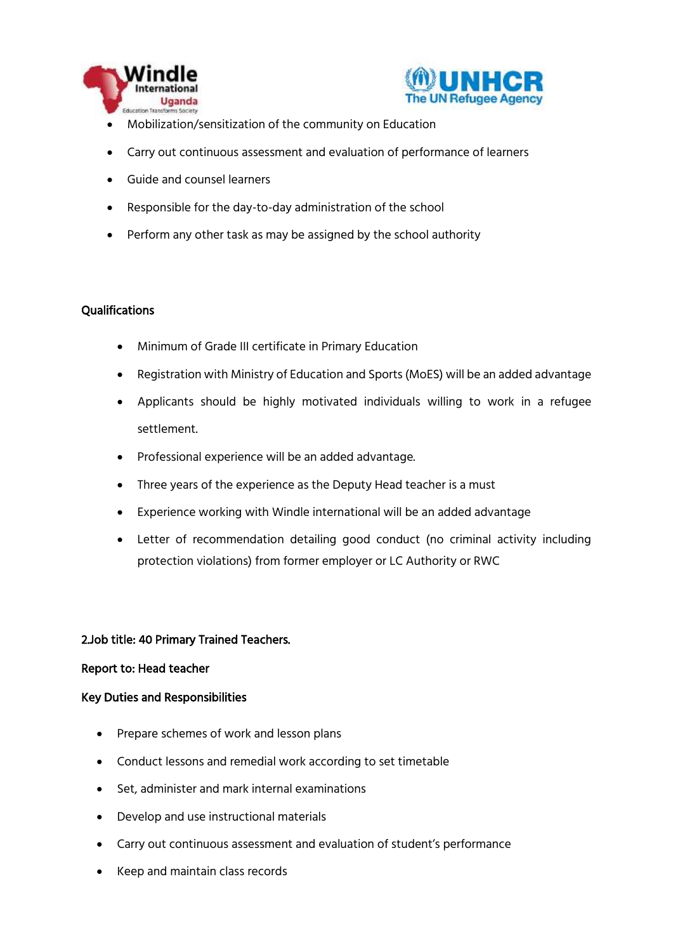



- Mobilization/sensitization of the community on Education
- Carry out continuous assessment and evaluation of performance of learners
- Guide and counsel learners
- Responsible for the day-to-day administration of the school
- Perform any other task as may be assigned by the school authority

## Qualifications

- Minimum of Grade III certificate in Primary Education
- Registration with Ministry of Education and Sports (MoES) will be an added advantage
- Applicants should be highly motivated individuals willing to work in a refugee settlement.
- Professional experience will be an added advantage.
- Three years of the experience as the Deputy Head teacher is a must
- Experience working with Windle international will be an added advantage
- Letter of recommendation detailing good conduct (no criminal activity including protection violations) from former employer or LC Authority or RWC

## 2.Job title: 40 Primary Trained Teachers.

#### Report to: Head teacher

## Key Duties and Responsibilities

- Prepare schemes of work and lesson plans
- Conduct lessons and remedial work according to set timetable
- Set, administer and mark internal examinations
- Develop and use instructional materials
- Carry out continuous assessment and evaluation of student's performance
- Keep and maintain class records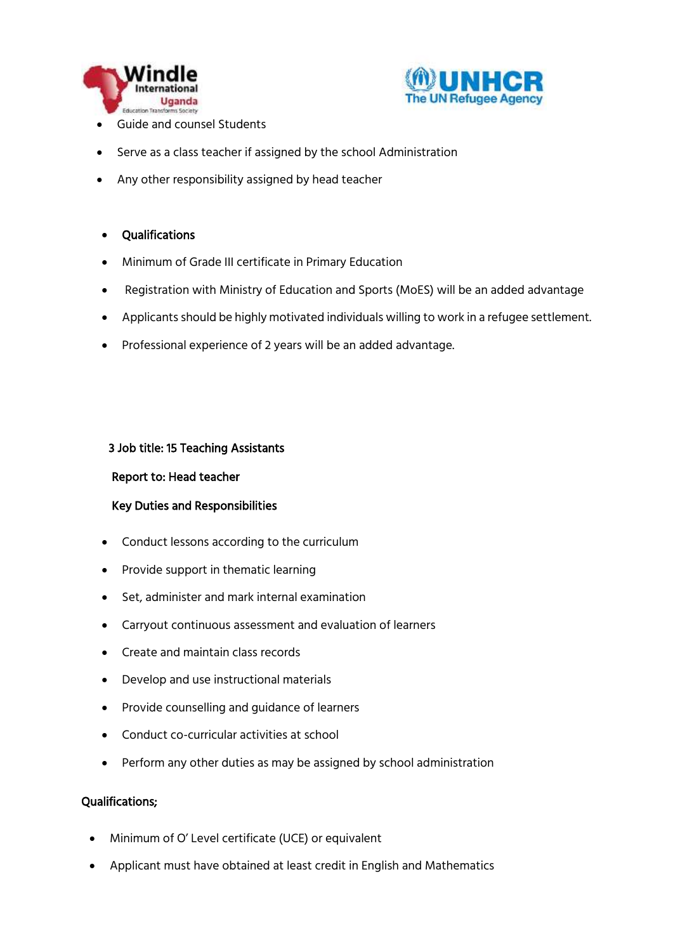



- Guide and counsel Students
- Serve as a class teacher if assigned by the school Administration
- Any other responsibility assigned by head teacher

# Qualifications

- Minimum of Grade III certificate in Primary Education
- Registration with Ministry of Education and Sports (MoES) will be an added advantage
- Applicants should be highly motivated individuals willing to work in a refugee settlement.
- Professional experience of 2 years will be an added advantage.

## 3 Job title: 15 Teaching Assistants

#### Report to: Head teacher

## Key Duties and Responsibilities

- Conduct lessons according to the curriculum
- Provide support in thematic learning
- Set, administer and mark internal examination
- Carryout continuous assessment and evaluation of learners
- Create and maintain class records
- Develop and use instructional materials
- Provide counselling and guidance of learners
- Conduct co-curricular activities at school
- Perform any other duties as may be assigned by school administration

## Qualifications;

- Minimum of O' Level certificate (UCE) or equivalent
- Applicant must have obtained at least credit in English and Mathematics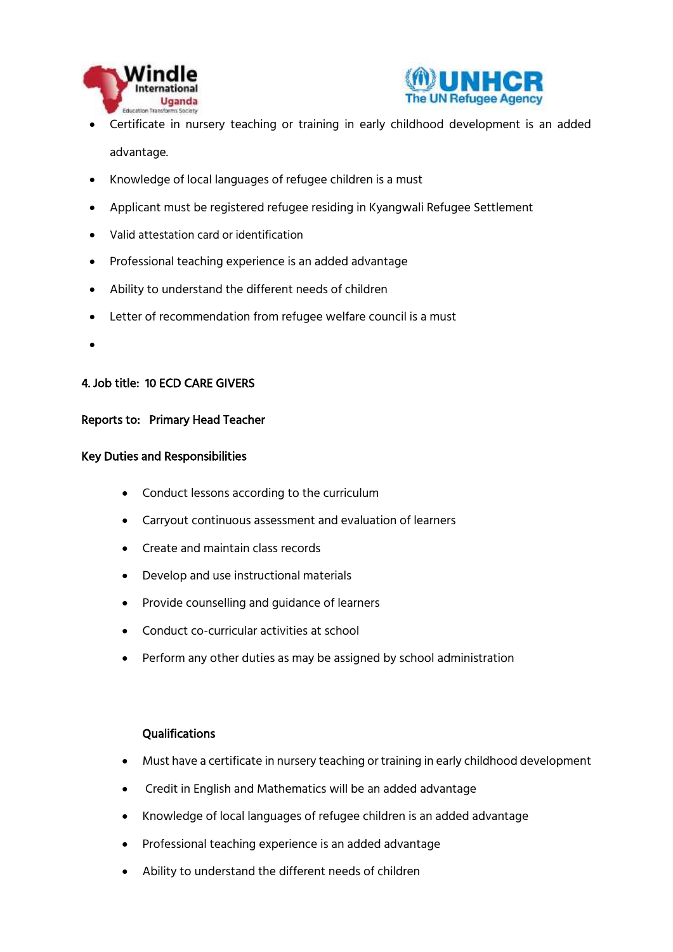



- Certificate in nursery teaching or training in early childhood development is an added advantage.
- Knowledge of local languages of refugee children is a must
- Applicant must be registered refugee residing in Kyangwali Refugee Settlement
- Valid attestation card or identification
- Professional teaching experience is an added advantage
- Ability to understand the different needs of children
- Letter of recommendation from refugee welfare council is a must
- $\bullet$

# 4. Job title: 10 ECD CARE GIVERS

#### Reports to: Primary Head Teacher

#### Key Duties and Responsibilities

- Conduct lessons according to the curriculum
- Carryout continuous assessment and evaluation of learners
- Create and maintain class records
- Develop and use instructional materials
- Provide counselling and guidance of learners
- Conduct co-curricular activities at school
- Perform any other duties as may be assigned by school administration

## Qualifications

- Must have a certificate in nursery teaching or training in early childhood development
- Credit in English and Mathematics will be an added advantage
- Knowledge of local languages of refugee children is an added advantage
- Professional teaching experience is an added advantage
- Ability to understand the different needs of children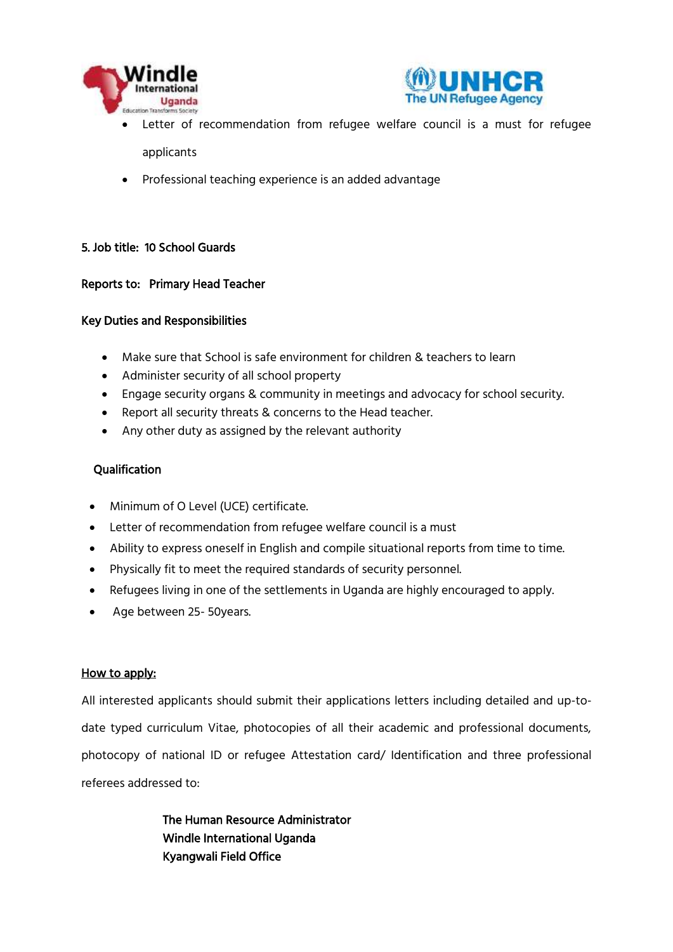



- Letter of recommendation from refugee welfare council is a must for refugee applicants
- Professional teaching experience is an added advantage

# 5. Job title: 10 School Guards

## Reports to: Primary Head Teacher

# Key Duties and Responsibilities

- Make sure that School is safe environment for children & teachers to learn
- Administer security of all school property
- Engage security organs & community in meetings and advocacy for school security.
- Report all security threats & concerns to the Head teacher.
- Any other duty as assigned by the relevant authority

# **Oualification**

- Minimum of O Level (UCE) certificate.
- Letter of recommendation from refugee welfare council is a must
- Ability to express oneself in English and compile situational reports from time to time.
- Physically fit to meet the required standards of security personnel.
- Refugees living in one of the settlements in Uganda are highly encouraged to apply.
- Age between 25- 50years.

## How to apply:

All interested applicants should submit their applications letters including detailed and up-todate typed curriculum Vitae, photocopies of all their academic and professional documents, photocopy of national ID or refugee Attestation card/ Identification and three professional referees addressed to:

> The Human Resource Administrator Windle International Uganda Kyangwali Field Office